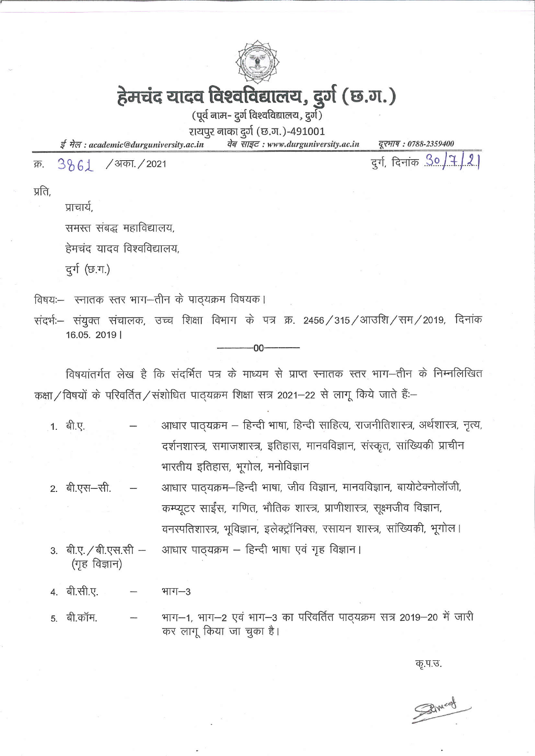

# हेमचंद यादव विश्वविद्यालय, दुर्ग (छ.ग.)

(पूर्व नाम- दुर्ग विश्वविद्यालय, दुर्ग)

रायपुर नाका दुर्ग (छ.ग.)-491001

ई मेल: academic@durguniversity.ac.in वेब साइट: www.durguniversity.ac.in

दूरभाष: 0788-2359400

 $3861$ / अका. / 2021 क्र.

दुर्ग, दिनांक 30/7/2

प्रति.

प्राचार्य.

समस्त संबद्ध महाविद्यालय,

हेमचंद यादव विश्वविद्यालय.

दुर्ग (छ.ग.)

विषयः- स्नातक स्तर भाग-तीन के पाठ्यक्रम विषयक।

संदर्भः- संयुक्त संचालक, उच्च शिक्षा विभाग के पत्र क्र. 2456 / 315 / आउशि / सम / 2019, दिनांक 16.05. 2019 |

n۵

विषयांतर्गत लेख है कि संदर्भित पत्र के माध्यम से प्राप्त स्नातक स्तर भाग-तीन के निम्नलिखित कक्षा / विषयों के परिवर्तित / संशोधित पाठ्यक्रम शिक्षा सत्र 2021-22 से लागू किये जाते हैं:-

- आधार पाठ्यक्रम हिन्दी भाषा, हिन्दी साहित्य, राजनीतिशास्त्र, अर्थशास्त्र, नृत्य, 1. बी.ए. दर्शनशास्त्र, समाजशास्त्र, इतिहास, मानवविज्ञान, संस्कृत, सांख्यिकी प्राचीन भारतीय इतिहास, भूगोल, मनोविज्ञान
- आधार पाठ्यक्रम-हिन्दी भाषा, जीव विज्ञान, मानवविज्ञान, बायोटेक्नोलॉजी, 2. बी.एस-सी. कम्प्यूटर साईंस, गणित, भौतिक शास्त्र, प्राणीशास्त्र, सूक्ष्मजीव विज्ञान, वनस्पतिशास्त्र, भूविज्ञान, इलेक्ट्रॉनिक्स, रसायन शास्त्र, सांख्यिकी, भूगोल।
- 3. बी.ए. / बी.एस.सी -आधार पाठ्यक्रम - हिन्दी भाषा एवं गृह विज्ञान। (गृह विज्ञान)
- 4. बी.सी.ए. भाग $-3$
- भाग–1, भाग–2 एवं भाग–3 का परिवर्तित पाठ्यक्रम सत्र 2019–20 में जारी 5. बी.कॉम. कर लागू किया जा चुका है।

कृ.प.उ.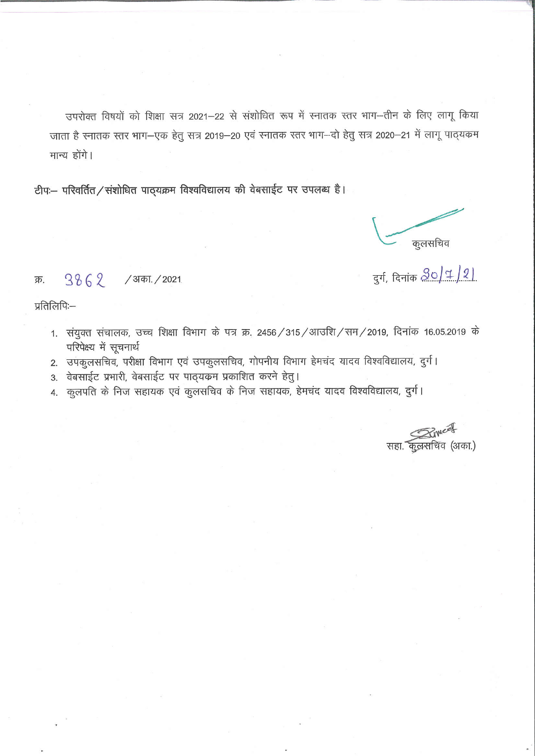उपरोक्त विषयों को शिक्षा सत्र 2021-22 से संशोधित रूप में स्नातक स्तर भाग--तीन के लिए लागू किया जाता है स्नातक स्तर भाग–एक हेतू सत्र 2019–20 एवं स्नातक स्तर भाग–दो हेतु सत्र 2020–21 में लागू पाठ्यक्रम मान्य होंगे।

टीपः- परिवर्तित/संशोधित पाठ्यक्रम विश्वविद्यालय की वेबसाईट पर उपलब्ध है।

कुलसचिव

दुर्ग, दिनांक <u>20/1/2)</u>

प्रतिलिपिः—

क्र.

 $3862$  / अका. / 2021

- 1. संयुक्त संचालक, उच्च शिक्षा विभाग के पत्र क्र. 2456/315/आउशि/सम/2019, दिनांक 16.05.2019 के परिपेक्ष्य में सूचनार्थ
- 2. उपकूलसचिव, परीक्षा विभाग एवं उपकूलसचिव, गोपनीय विभाग हेमचंद यादव विश्वविद्यालय, दुर्ग।
- 3. वेबसाईट प्रभारी, वेबसाईट पर पाठ्यक्रम प्रकाशित करने हेतु।
- 4. कुलपति के निज सहायक एवं कुलसचिव के निज सहायक, हेमचंद यादव विश्वविद्यालय, दुर्ग।

सहा. कुलसचिव (अका.)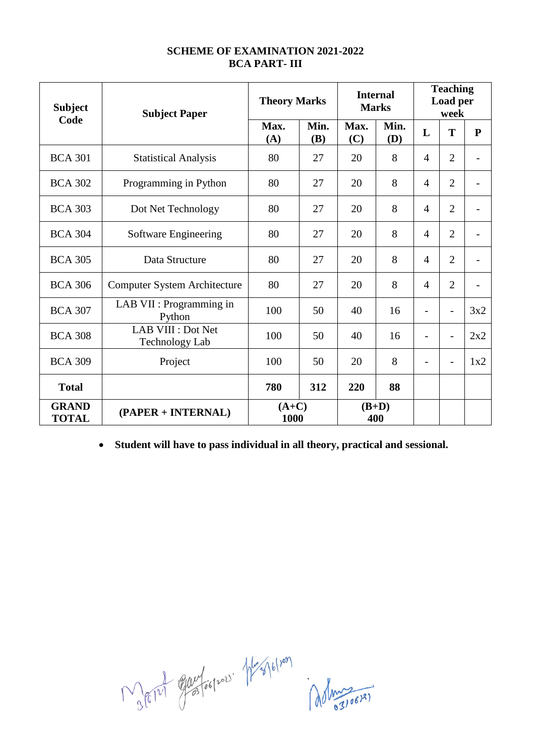#### **SCHEME OF EXAMINATION 2021-2022 BCA PART- III**

| <b>Subject</b><br>Code       | <b>Subject Paper</b>                        | <b>Theory Marks</b> |                    | <b>Internal</b><br><b>Marks</b> |                    | <b>Teaching</b><br>Load per<br>week |                          |                          |
|------------------------------|---------------------------------------------|---------------------|--------------------|---------------------------------|--------------------|-------------------------------------|--------------------------|--------------------------|
|                              |                                             | Max.<br>(A)         | Min.<br><b>(B)</b> | Max.<br>(C)                     | Min.<br><b>(D)</b> | L                                   | T                        | ${\bf P}$                |
| <b>BCA 301</b>               | <b>Statistical Analysis</b>                 | 80                  | 27                 | 20                              | 8                  | $\overline{4}$                      | $\overline{2}$           |                          |
| <b>BCA 302</b>               | Programming in Python                       | 80                  | 27                 | 20                              | 8                  | $\overline{4}$                      | $\overline{2}$           | $\overline{a}$           |
| <b>BCA 303</b>               | Dot Net Technology                          | 80                  | 27                 | 20                              | 8                  | $\overline{4}$                      | $\overline{2}$           |                          |
| <b>BCA 304</b>               | Software Engineering                        | 80                  | 27                 | 20                              | 8                  | $\overline{4}$                      | $\overline{2}$           |                          |
| <b>BCA 305</b>               | Data Structure                              | 80                  | 27                 | 20                              | 8                  | $\overline{4}$                      | $\overline{2}$           |                          |
| <b>BCA 306</b>               | <b>Computer System Architecture</b>         | 80                  | 27                 | 20                              | 8                  | $\overline{4}$                      | $\overline{2}$           | $\overline{\phantom{0}}$ |
| <b>BCA 307</b>               | LAB VII : Programming in<br>Python          | 100                 | 50                 | 40                              | 16                 |                                     | $\overline{a}$           | 3x2                      |
| <b>BCA 308</b>               | LAB VIII : Dot Net<br><b>Technology Lab</b> | 100                 | 50                 | 40                              | 16                 | $\overline{\phantom{0}}$            | $\overline{a}$           | 2x2                      |
| <b>BCA 309</b>               | Project                                     | 100                 | 50                 | 20                              | 8                  |                                     | $\overline{\phantom{0}}$ | 1x2                      |
| <b>Total</b>                 |                                             | 780                 | 312                | 220                             | 88                 |                                     |                          |                          |
| <b>GRAND</b><br><b>TOTAL</b> | (PAPER + INTERNAL)                          | $(A+C)$<br>1000     |                    |                                 | $(B+D)$<br>400     |                                     |                          |                          |

**Student will have to pass individual in all theory, practical and sessional.**

Mary Europes Hespel Mary 6/109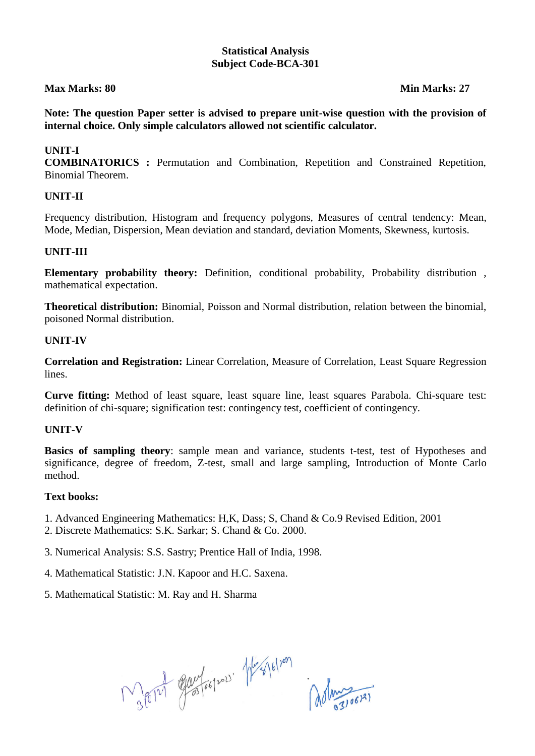#### **Statistical Analysis Subject Code-BCA-301**

#### **Max Marks: 80 Min Marks: 27** Min Marks: 27

**Note: The question Paper setter is advised to prepare unit-wise question with the provision of internal choice. Only simple calculators allowed not scientific calculator.**

#### **UNIT-I**

**COMBINATORICS :** Permutation and Combination, Repetition and Constrained Repetition, Binomial Theorem.

#### **UNIT-II**

Frequency distribution, Histogram and frequency polygons, Measures of central tendency: Mean, Mode, Median, Dispersion, Mean deviation and standard, deviation Moments, Skewness, kurtosis.

#### **UNIT-III**

**Elementary probability theory:** Definition, conditional probability, Probability distribution , mathematical expectation.

**Theoretical distribution:** Binomial, Poisson and Normal distribution, relation between the binomial, poisoned Normal distribution.

#### **UNIT-IV**

**Correlation and Registration:** Linear Correlation, Measure of Correlation, Least Square Regression lines.

**Curve fitting:** Method of least square, least square line, least squares Parabola. Chi-square test: definition of chi-square; signification test: contingency test, coefficient of contingency.

#### **UNIT-V**

**Basics of sampling theory**: sample mean and variance, students t-test, test of Hypotheses and significance, degree of freedom, Z-test, small and large sampling, Introduction of Monte Carlo method.

#### **Text books:**

- 1. Advanced Engineering Mathematics: H,K, Dass; S, Chand & Co.9 Revised Edition, 2001
- 2. Discrete Mathematics: S.K. Sarkar; S. Chand & Co. 2000.
- 3. Numerical Analysis: S.S. Sastry; Prentice Hall of India, 1998.
- 4. Mathematical Statistic: J.N. Kapoor and H.C. Saxena.
- 5. Mathematical Statistic: M. Ray and H. Sharma

 $M_{36121}$  equitospor hershopen del magical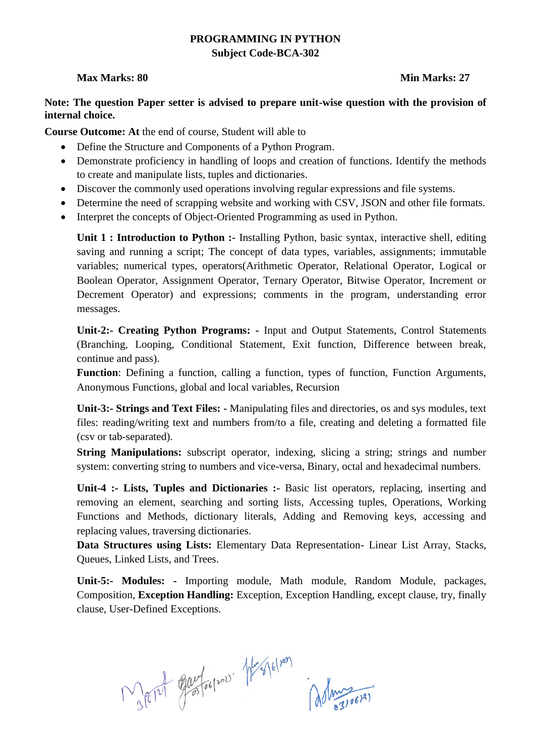### **PROGRAMMING IN PYTHON Subject Code-BCA-302**

#### **Max Marks: 80 Min Marks: 27** Min Marks: 27

#### **Note: The question Paper setter is advised to prepare unit-wise question with the provision of internal choice.**

**Course Outcome: At** the end of course, Student will able to

- Define the Structure and Components of a Python Program.
- Demonstrate proficiency in handling of loops and creation of functions. Identify the methods to create and manipulate lists, tuples and dictionaries.
- Discover the commonly used operations involving regular expressions and file systems.
- Determine the need of scrapping website and working with CSV, JSON and other file formats.
- Interpret the concepts of Object-Oriented Programming as used in Python.

**Unit 1 : Introduction to Python :-** Installing Python, basic syntax, interactive shell, editing saving and running a script; The concept of data types, variables, assignments; immutable variables; numerical types, operators(Arithmetic Operator, Relational Operator, Logical or Boolean Operator, Assignment Operator, Ternary Operator, Bitwise Operator, Increment or Decrement Operator) and expressions; comments in the program, understanding error messages.

**Unit-2:- Creating Python Programs: -** Input and Output Statements, Control Statements (Branching, Looping, Conditional Statement, Exit function, Difference between break, continue and pass).

Function: Defining a function, calling a function, types of function, Function Arguments, Anonymous Functions, global and local variables, Recursion

**Unit-3:- Strings and Text Files: -** Manipulating files and directories, os and sys modules, text files: reading/writing text and numbers from/to a file, creating and deleting a formatted file (csv or tab-separated).

**String Manipulations:** subscript operator, indexing, slicing a string; strings and number system: converting string to numbers and vice-versa, Binary, octal and hexadecimal numbers.

**Unit-4 :- Lists, Tuples and Dictionaries :-** Basic list operators, replacing, inserting and removing an element, searching and sorting lists, Accessing tuples, Operations, Working Functions and Methods, dictionary literals, Adding and Removing keys, accessing and replacing values, traversing dictionaries.

**Data Structures using Lists:** Elementary Data Representation- Linear List Array, Stacks, Queues, Linked Lists, and Trees.

**Unit-5:- Modules: -** Importing module, Math module, Random Module, packages, Composition, **Exception Handling:** Exception, Exception Handling, except clause, try, finally clause, User-Defined Exceptions.

 $M_{36121}$  equatorized the follow association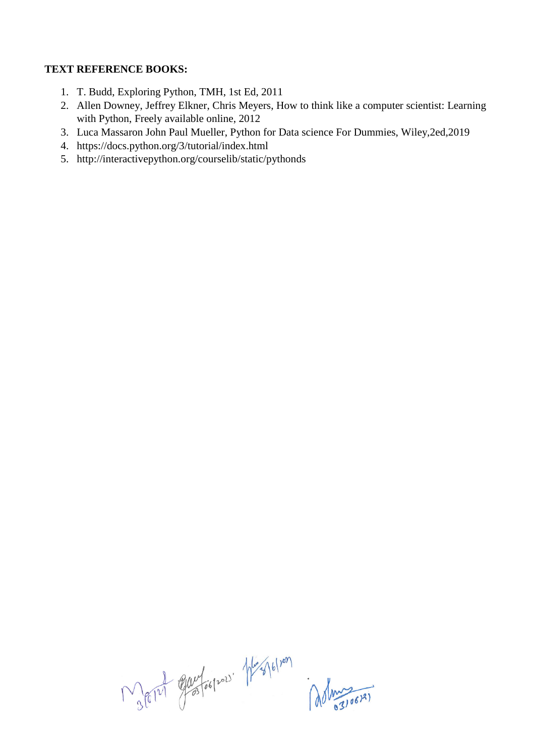# **TEXT REFERENCE BOOKS:**

- 1. T. Budd, Exploring Python, TMH, 1st Ed, 2011
- 2. Allen Downey, Jeffrey Elkner, Chris Meyers, How to think like a computer scientist: Learning with Python, Freely available online, 2012
- 3. Luca Massaron John Paul Mueller, Python for Data science For Dummies, Wiley,2ed,2019
- 4. https://docs.python.org/3/tutorial/index.html
- 5. http://interactivepython.org/courselib/static/pythonds

Mary Europes Magletian del 1907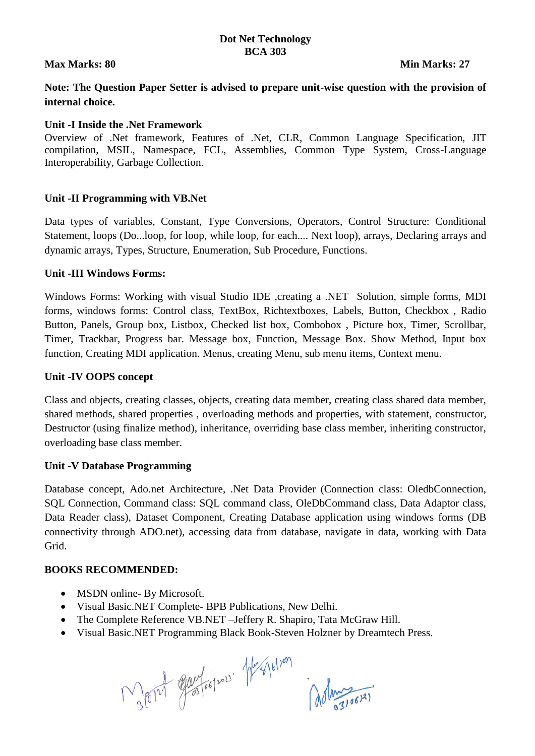### **Dot Net Technology BCA 303**

#### **Max Marks: 80 Min Marks: 27**

**Note: The Question Paper Setter is advised to prepare unit-wise question with the provision of internal choice.** 

#### **Unit -I Inside the .Net Framework**

Overview of .Net framework, Features of .Net, CLR, Common Language Specification, JIT compilation, MSIL, Namespace, FCL, Assemblies, Common Type System, Cross-Language Interoperability, Garbage Collection.

#### **Unit -II Programming with VB.Net**

Data types of variables, Constant, Type Conversions, Operators, Control Structure: Conditional Statement, loops (Do...loop, for loop, while loop, for each.... Next loop), arrays, Declaring arrays and dynamic arrays, Types, Structure, Enumeration, Sub Procedure, Functions.

#### **Unit -III Windows Forms:**

Windows Forms: Working with visual Studio IDE , creating a .NET Solution, simple forms, MDI forms, windows forms: Control class, TextBox, Richtextboxes, Labels, Button, Checkbox , Radio Button, Panels, Group box, Listbox, Checked list box, Combobox , Picture box, Timer, Scrollbar, Timer, Trackbar, Progress bar. Message box, Function, Message Box. Show Method, Input box function, Creating MDI application. Menus, creating Menu, sub menu items, Context menu.

#### **Unit -IV OOPS concept**

Class and objects, creating classes, objects, creating data member, creating class shared data member, shared methods, shared properties , overloading methods and properties, with statement, constructor, Destructor (using finalize method), inheritance, overriding base class member, inheriting constructor, overloading base class member.

#### **Unit -V Database Programming**

Database concept, Ado.net Architecture, .Net Data Provider (Connection class: OledbConnection, SQL Connection, Command class: SQL command class, OleDbCommand class, Data Adaptor class, Data Reader class), Dataset Component, Creating Database application using windows forms (DB connectivity through ADO.net), accessing data from database, navigate in data, working with Data Grid.

#### **BOOKS RECOMMENDED:**

- MSDN online- By Microsoft.
- Visual Basic.NET Complete- BPB Publications, New Delhi.
- The Complete Reference VB.NET –Jeffery R. Shapiro, Tata McGraw Hill.
- Visual Basic.NET Programming Black Book-Steven Holzner by Dreamtech Press.

JEIN Glad football plus 16/201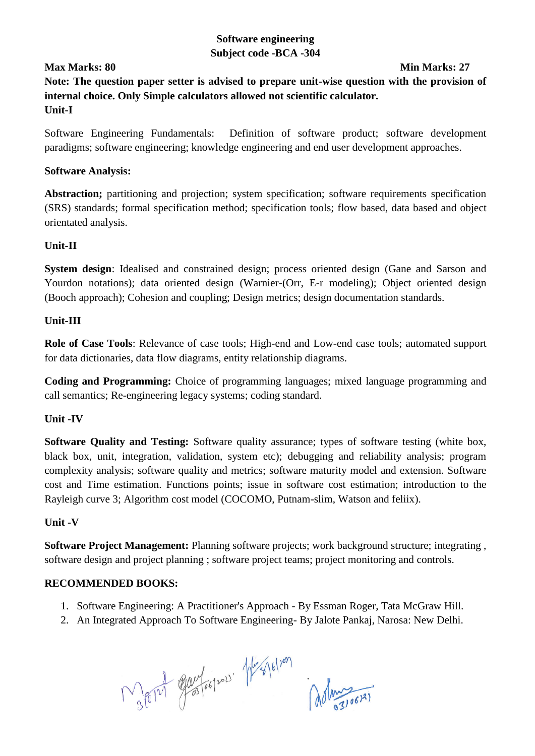# **Software engineering Subject code -BCA -304**

### **Max Marks: 80 Min Marks: 27**

**Note: The question paper setter is advised to prepare unit-wise question with the provision of internal choice. Only Simple calculators allowed not scientific calculator. Unit-I**

Software Engineering Fundamentals: Definition of software product; software development paradigms; software engineering; knowledge engineering and end user development approaches.

#### **Software Analysis:**

Abstraction; partitioning and projection; system specification; software requirements specification (SRS) standards; formal specification method; specification tools; flow based, data based and object orientated analysis.

### **Unit-II**

**System design**: Idealised and constrained design; process oriented design (Gane and Sarson and Yourdon notations); data oriented design (Warnier-(Orr, E-r modeling); Object oriented design (Booch approach); Cohesion and coupling; Design metrics; design documentation standards.

# **Unit-III**

**Role of Case Tools**: Relevance of case tools; High-end and Low-end case tools; automated support for data dictionaries, data flow diagrams, entity relationship diagrams.

**Coding and Programming:** Choice of programming languages; mixed language programming and call semantics; Re-engineering legacy systems; coding standard.

### **Unit -IV**

**Software Quality and Testing:** Software quality assurance; types of software testing (white box, black box, unit, integration, validation, system etc); debugging and reliability analysis; program complexity analysis; software quality and metrics; software maturity model and extension. Software cost and Time estimation. Functions points; issue in software cost estimation; introduction to the Rayleigh curve 3; Algorithm cost model (COCOMO, Putnam-slim, Watson and feliix).

### **Unit -V**

**Software Project Management:** Planning software projects; work background structure; integrating , software design and project planning ; software project teams; project monitoring and controls.

### **RECOMMENDED BOOKS:**

- 1. Software Engineering: A Practitioner's Approach By Essman Roger, Tata McGraw Hill.
- 2. An Integrated Approach To Software Engineering- By Jalote Pankaj, Narosa: New Delhi.

Ment gavforpor Messelver delunger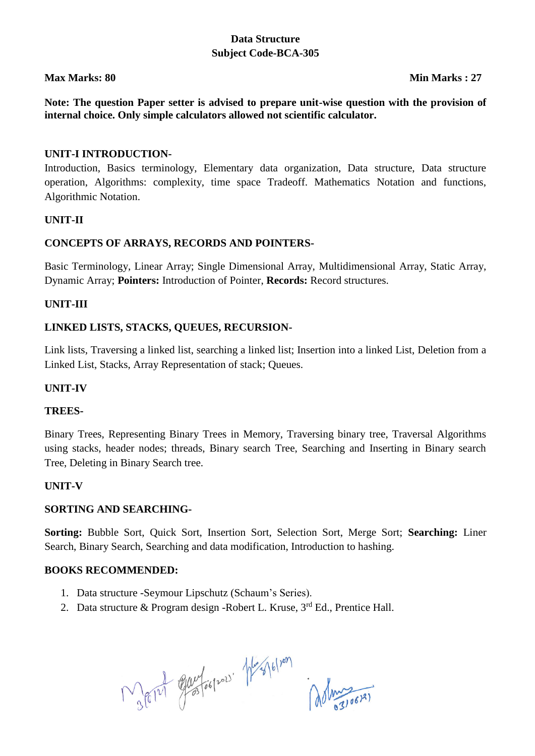# **Data Structure Subject Code-BCA-305**

### **Max Marks: 80 Min Marks : 27**

**Note: The question Paper setter is advised to prepare unit-wise question with the provision of internal choice. Only simple calculators allowed not scientific calculator.**

#### **UNIT-I INTRODUCTION-**

Introduction, Basics terminology, Elementary data organization, Data structure, Data structure operation, Algorithms: complexity, time space Tradeoff. Mathematics Notation and functions, Algorithmic Notation.

#### **UNIT-II**

#### **CONCEPTS OF ARRAYS, RECORDS AND POINTERS-**

Basic Terminology, Linear Array; Single Dimensional Array, Multidimensional Array, Static Array, Dynamic Array; **Pointers:** Introduction of Pointer, **Records:** Record structures.

### **UNIT-III**

#### **LINKED LISTS, STACKS, QUEUES, RECURSION-**

Link lists, Traversing a linked list, searching a linked list; Insertion into a linked List, Deletion from a Linked List, Stacks, Array Representation of stack; Queues.

#### **UNIT-IV**

#### **TREES-**

Binary Trees, Representing Binary Trees in Memory, Traversing binary tree, Traversal Algorithms using stacks, header nodes; threads, Binary search Tree, Searching and Inserting in Binary search Tree, Deleting in Binary Search tree.

#### **UNIT-V**

#### **SORTING AND SEARCHING-**

**Sorting:** Bubble Sort, Quick Sort, Insertion Sort, Selection Sort, Merge Sort; **Searching:** Liner Search, Binary Search, Searching and data modification, Introduction to hashing.

#### **BOOKS RECOMMENDED:**

- 1. Data structure -Seymour Lipschutz (Schaum's Series).
- 2. Data structure & Program design -Robert L. Kruse,  $3<sup>rd</sup>$  Ed., Prentice Hall.

Mary Elevelson Magletion (dolmainer)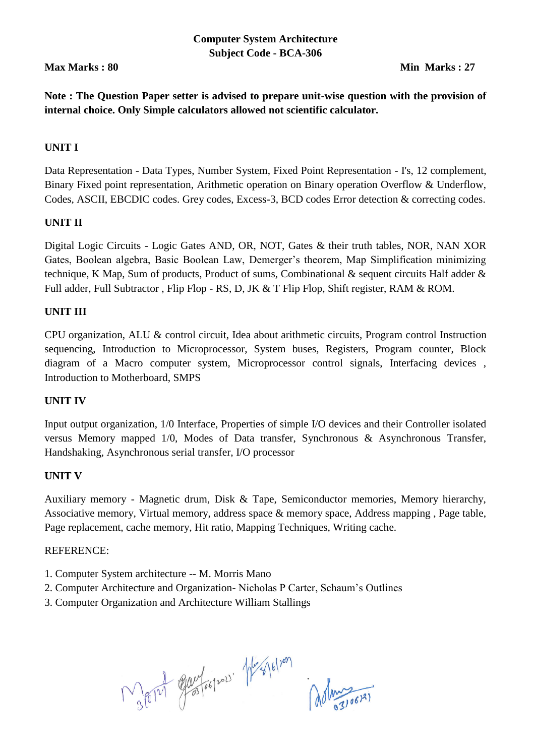# **Computer System Architecture Subject Code - BCA-306**

# **Max Marks : 80 Min Marks : 27**

**Note : The Question Paper setter is advised to prepare unit-wise question with the provision of internal choice. Only Simple calculators allowed not scientific calculator.**

# **UNIT I**

Data Representation - Data Types, Number System, Fixed Point Representation - I's, 12 complement, Binary Fixed point representation, Arithmetic operation on Binary operation Overflow & Underflow, Codes, ASCII, EBCDIC codes. Grey codes, Excess-3, BCD codes Error detection & correcting codes.

### **UNIT II**

Digital Logic Circuits - Logic Gates AND, OR, NOT, Gates & their truth tables, NOR, NAN XOR Gates, Boolean algebra, Basic Boolean Law, Demerger's theorem, Map Simplification minimizing technique, K Map, Sum of products, Product of sums, Combinational & sequent circuits Half adder & Full adder, Full Subtractor, Flip Flop - RS, D, JK & T Flip Flop, Shift register, RAM & ROM.

# **UNIT III**

CPU organization, ALU & control circuit, Idea about arithmetic circuits, Program control Instruction sequencing, Introduction to Microprocessor, System buses, Registers, Program counter, Block diagram of a Macro computer system, Microprocessor control signals, Interfacing devices , Introduction to Motherboard, SMPS

### **UNIT IV**

Input output organization, 1/0 Interface, Properties of simple I/O devices and their Controller isolated versus Memory mapped 1/0, Modes of Data transfer, Synchronous & Asynchronous Transfer, Handshaking, Asynchronous serial transfer, I/O processor

### **UNIT V**

Auxiliary memory - Magnetic drum, Disk & Tape, Semiconductor memories, Memory hierarchy, Associative memory, Virtual memory, address space & memory space, Address mapping , Page table, Page replacement, cache memory, Hit ratio, Mapping Techniques, Writing cache.

#### REFERENCE:

- 1. Computer System architecture -- M. Morris Mano
- 2. Computer Architecture and Organization- Nicholas P Carter, Schaum's Outlines
- 3. Computer Organization and Architecture William Stallings

Rolet Guylogrow Hesplan Administration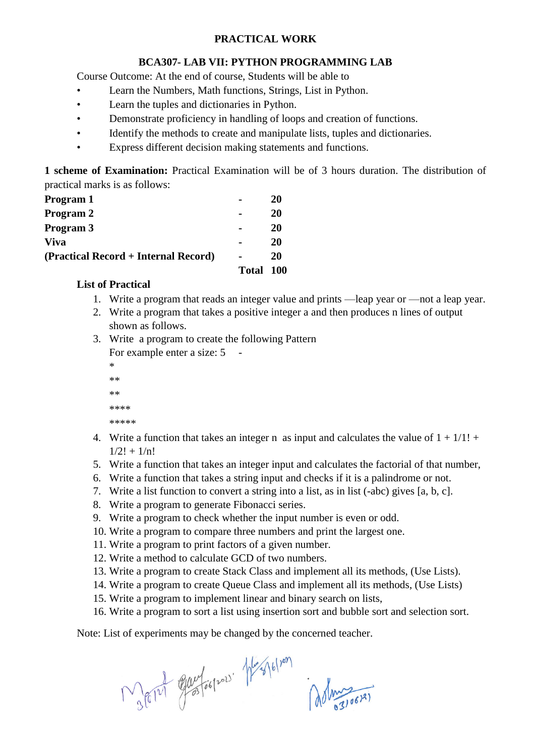### **PRACTICAL WORK**

#### **BCA307- LAB VII: PYTHON PROGRAMMING LAB**

Course Outcome: At the end of course, Students will be able to

- Learn the Numbers, Math functions, Strings, List in Python.
- Learn the tuples and dictionaries in Python.
- Demonstrate proficiency in handling of loops and creation of functions.
- Identify the methods to create and manipulate lists, tuples and dictionaries.
- Express different decision making statements and functions.

**1 scheme of Examination:** Practical Examination will be of 3 hours duration. The distribution of practical marks is as follows:

|                                      | Total | 100 |
|--------------------------------------|-------|-----|
| (Practical Record + Internal Record) |       | 20  |
| <b>Viva</b>                          |       | 20  |
| Program 3                            |       | 20  |
| Program 2                            |       | 20  |
| Program 1                            |       | 20  |
|                                      |       |     |

# **List of Practical**

- 1. Write a program that reads an integer value and prints —leap year or —not a leap year.
- 2. Write a program that takes a positive integer a and then produces n lines of output shown as follows.
- 3. Write a program to create the following Pattern For example enter a size: 5

\* \*\* \*\*

- \*\*\*\* \*\*\*\*\*
- 4. Write a function that takes an integer n as input and calculates the value of  $1 + 1/1!$  +  $1/2! + 1/n!$
- 5. Write a function that takes an integer input and calculates the factorial of that number,
- 6. Write a function that takes a string input and checks if it is a palindrome or not.
- 7. Write a list function to convert a string into a list, as in list (-abc) gives [a, b, c].
- 8. Write a program to generate Fibonacci series.
- 9. Write a program to check whether the input number is even or odd.
- 10. Write a program to compare three numbers and print the largest one.
- 11. Write a program to print factors of a given number.
- 12. Write a method to calculate GCD of two numbers.
- 13. Write a program to create Stack Class and implement all its methods, (Use Lists).
- 14. Write a program to create Queue Class and implement all its methods, (Use Lists)
- 15. Write a program to implement linear and binary search on lists,
- 16. Write a program to sort a list using insertion sort and bubble sort and selection sort.

Note: List of experiments may be changed by the concerned teacher.

 $M_{36121}$  equatorized the follow association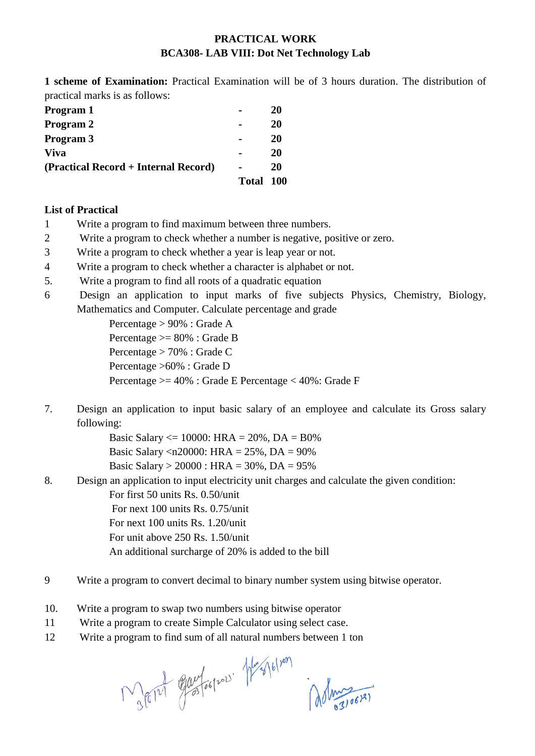# **PRACTICAL WORK BCA308- LAB VIII: Dot Net Technology Lab**

**1 scheme of Examination:** Practical Examination will be of 3 hours duration. The distribution of practical marks is as follows:

| Program 1                            |              | 20    |
|--------------------------------------|--------------|-------|
| Program 2                            |              | 20    |
| Program 3                            |              | 20    |
| <b>Viva</b>                          |              | 20    |
| (Practical Record + Internal Record) |              | 20    |
|                                      | <b>Total</b> | - 100 |

### **List of Practical**

- 1 Write a program to find maximum between three numbers.
- 2 Write a program to check whether a number is negative, positive or zero.
- 3 Write a program to check whether a year is leap year or not.
- 4 Write a program to check whether a character is alphabet or not.
- 5. Write a program to find all roots of a quadratic equation
- 6 Design an application to input marks of five subjects Physics, Chemistry, Biology, Mathematics and Computer. Calculate percentage and grade

Percentage > 90% : Grade A Percentage >= 80% : Grade B Percentage > 70% : Grade C Percentage >60% : Grade D Percentage >= 40% : Grade E Percentage < 40%: Grade F

7. Design an application to input basic salary of an employee and calculate its Gross salary following:

> Basic Salary  $\leq$  10000: HRA = 20%, DA = B0% Basic Salary <n20000: HRA = 25%, DA = 90% Basic Salary > 20000 : HRA = 30%, DA = 95%

8. Design an application to input electricity unit charges and calculate the given condition:

For first 50 units Rs. 0.50/unit

For next 100 units Rs. 0.75/unit

- For next 100 units Rs. 1.20/unit
- For unit above 250 Rs. 1.50/unit

An additional surcharge of 20% is added to the bill

- 9 Write a program to convert decimal to binary number system using bitwise operator.
- 10. Write a program to swap two numbers using bitwise operator
- 11 Write a program to create Simple Calculator using select case.
- 12 Write a program to find sum of all natural numbers between 1 ton

Ment Gay Lospor Mes 6/201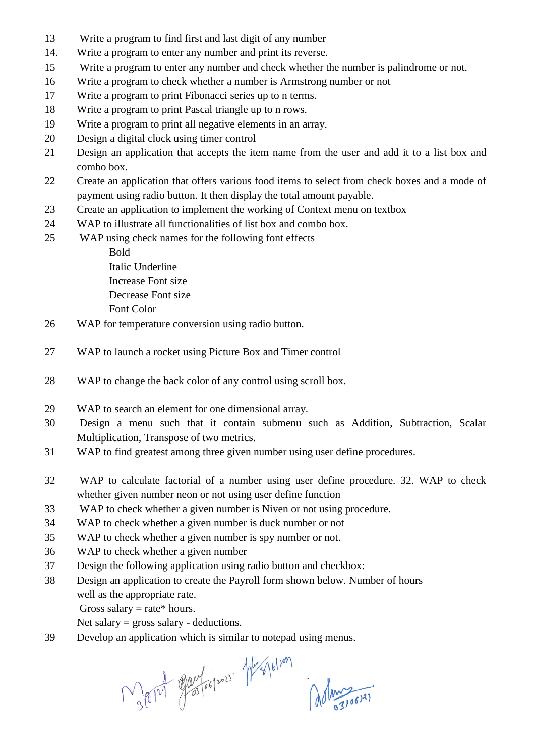- 13 Write a program to find first and last digit of any number
- 14. Write a program to enter any number and print its reverse.
- 15 Write a program to enter any number and check whether the number is palindrome or not.
- 16 Write a program to check whether a number is Armstrong number or not
- 17 Write a program to print Fibonacci series up to n terms.
- 18 Write a program to print Pascal triangle up to n rows.
- 19 Write a program to print all negative elements in an array.
- 20 Design a digital clock using timer control
- 21 Design an application that accepts the item name from the user and add it to a list box and combo box.
- 22 Create an application that offers various food items to select from check boxes and a mode of payment using radio button. It then display the total amount payable.
- 23 Create an application to implement the working of Context menu on textbox
- 24 WAP to illustrate all functionalities of list box and combo box.
- 25 WAP using check names for the following font effects

Bold Italic Underline Increase Font size Decrease Font size Font Color

- 26 WAP for temperature conversion using radio button.
- 27 WAP to launch a rocket using Picture Box and Timer control
- 28 WAP to change the back color of any control using scroll box.
- 29 WAP to search an element for one dimensional array.
- 30 Design a menu such that it contain submenu such as Addition, Subtraction, Scalar Multiplication, Transpose of two metrics.
- 31 WAP to find greatest among three given number using user define procedures.
- 32 WAP to calculate factorial of a number using user define procedure. 32. WAP to check whether given number neon or not using user define function
- 33 WAP to check whether a given number is Niven or not using procedure.
- 34 WAP to check whether a given number is duck number or not
- 35 WAP to check whether a given number is spy number or not.
- 36 WAP to check whether a given number
- 37 Design the following application using radio button and checkbox:
- 38 Design an application to create the Payroll form shown below. Number of hours well as the appropriate rate.

Gross salary = rate\* hours.

Net salary = gross salary - deductions.

39 Develop an application which is similar to notepad using menus.

Ment Gay Lospor Herstelver dolmes 0672)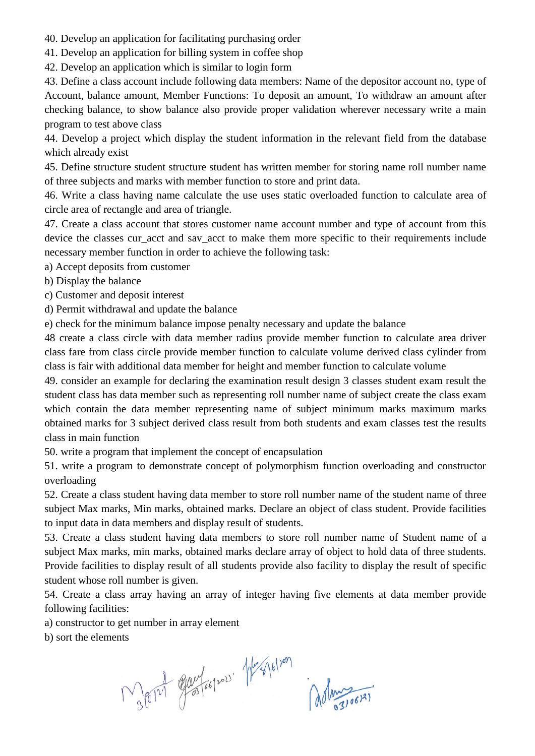40. Develop an application for facilitating purchasing order

41. Develop an application for billing system in coffee shop

42. Develop an application which is similar to login form

43. Define a class account include following data members: Name of the depositor account no, type of Account, balance amount, Member Functions: To deposit an amount, To withdraw an amount after checking balance, to show balance also provide proper validation wherever necessary write a main program to test above class

44. Develop a project which display the student information in the relevant field from the database which already exist

45. Define structure student structure student has written member for storing name roll number name of three subjects and marks with member function to store and print data.

46. Write a class having name calculate the use uses static overloaded function to calculate area of circle area of rectangle and area of triangle.

47. Create a class account that stores customer name account number and type of account from this device the classes cur\_acct and sav\_acct to make them more specific to their requirements include necessary member function in order to achieve the following task:

a) Accept deposits from customer

- b) Display the balance
- c) Customer and deposit interest

d) Permit withdrawal and update the balance

e) check for the minimum balance impose penalty necessary and update the balance

48 create a class circle with data member radius provide member function to calculate area driver class fare from class circle provide member function to calculate volume derived class cylinder from class is fair with additional data member for height and member function to calculate volume

49. consider an example for declaring the examination result design 3 classes student exam result the student class has data member such as representing roll number name of subject create the class exam which contain the data member representing name of subject minimum marks maximum marks obtained marks for 3 subject derived class result from both students and exam classes test the results class in main function

50. write a program that implement the concept of encapsulation

51. write a program to demonstrate concept of polymorphism function overloading and constructor overloading

52. Create a class student having data member to store roll number name of the student name of three subject Max marks, Min marks, obtained marks. Declare an object of class student. Provide facilities to input data in data members and display result of students.

53. Create a class student having data members to store roll number name of Student name of a subject Max marks, min marks, obtained marks declare array of object to hold data of three students. Provide facilities to display result of all students provide also facility to display the result of specific student whose roll number is given.

54. Create a class array having an array of integer having five elements at data member provide following facilities:

a) constructor to get number in array element

b) sort the elements

Report Europes Margolines Administration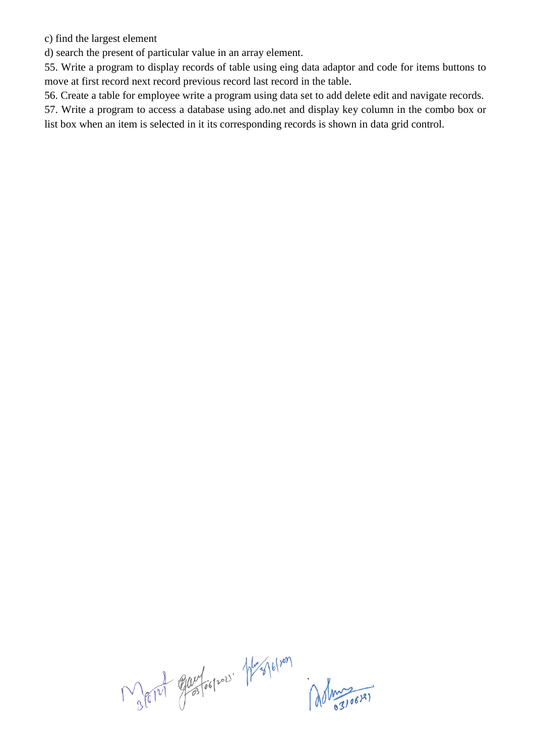c) find the largest element

d) search the present of particular value in an array element.

55. Write a program to display records of table using eing data adaptor and code for items buttons to move at first record next record previous record last record in the table.

56. Create a table for employee write a program using data set to add delete edit and navigate records.

57. Write a program to access a database using ado.net and display key column in the combo box or list box when an item is selected in it its corresponding records is shown in data grid control.

Mary Europes Magletian del 1907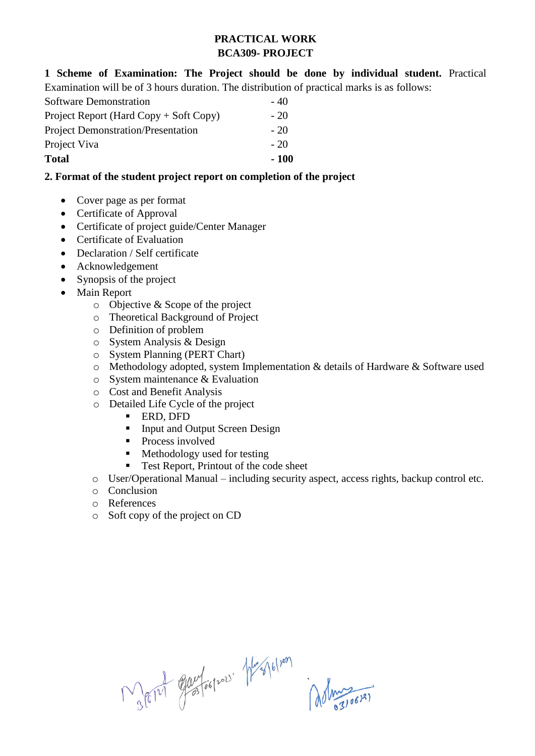# **PRACTICAL WORK BCA309- PROJECT**

**1 Scheme of Examination: The Project should be done by individual student.** Practical Examination will be of 3 hours duration. The distribution of practical marks is as follows:

| Software Demonstration                    | $-40$  |
|-------------------------------------------|--------|
| Project Report (Hard Copy $+$ Soft Copy)  | $-20$  |
| <b>Project Demonstration/Presentation</b> | $-20$  |
| Project Viva                              | $-20$  |
| <b>Total</b>                              | $-100$ |

# **2. Format of the student project report on completion of the project**

- Cover page as per format
- Certificate of Approval
- Certificate of project guide/Center Manager
- Certificate of Evaluation
- Declaration / Self certificate
- Acknowledgement
- Synopsis of the project
- Main Report
	- o Objective & Scope of the project
	- o Theoretical Background of Project
	- o Definition of problem
	- o System Analysis & Design
	- o System Planning (PERT Chart)
	- o Methodology adopted, system Implementation & details of Hardware & Software used
	- o System maintenance & Evaluation
	- o Cost and Benefit Analysis
	- o Detailed Life Cycle of the project
		- **ERD, DFD**
		- Input and Output Screen Design
		- Process involved
		- Methodology used for testing
		- Test Report, Printout of the code sheet
	- o User/Operational Manual including security aspect, access rights, backup control etc.
	- o Conclusion
	- o References
	- o Soft copy of the project on CD

Mary Euclospor Hespelvon<br>administer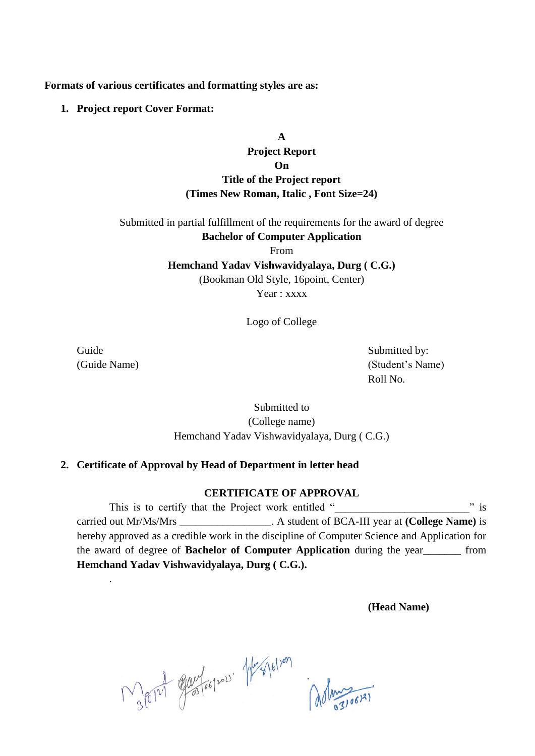**Formats of various certificates and formatting styles are as:**

**1. Project report Cover Format:**

# **A Project Report On Title of the Project report (Times New Roman, Italic , Font Size=24)**

Submitted in partial fulfillment of the requirements for the award of degree **Bachelor of Computer Application**

From

**Hemchand Yadav Vishwavidyalaya, Durg ( C.G.)**

(Bookman Old Style, 16point, Center)

Year : xxxx

Logo of College

.

Guide Submitted by: (Guide Name) (Student's Name) Roll No.

> Submitted to (College name) Hemchand Yadav Vishwavidyalaya, Durg ( C.G.)

### **2. Certificate of Approval by Head of Department in letter head**

#### **CERTIFICATE OF APPROVAL**

This is to certify that the Project work entitled "  $\frac{1}{2}$  " is carried out Mr/Ms/Mrs \_\_\_\_\_\_\_\_\_\_\_\_\_\_\_\_\_. A student of BCA-III year at **(College Name)** is hereby approved as a credible work in the discipline of Computer Science and Application for the award of degree of **Bachelor of Computer Application** during the year\_\_\_\_\_\_\_ from **Hemchand Yadav Vishwavidyalaya, Durg ( C.G.).**

**(Head Name)**

Mary Office of the Mary (10)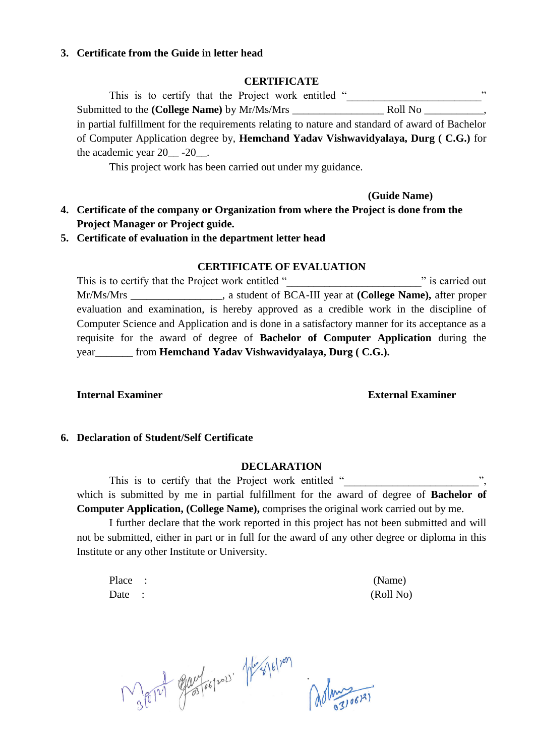#### **3. Certificate from the Guide in letter head**

#### **CERTIFICATE**

| This is to certify that the Project work entitled "                                              | , ,                                                                                                                                                                                                                           |
|--------------------------------------------------------------------------------------------------|-------------------------------------------------------------------------------------------------------------------------------------------------------------------------------------------------------------------------------|
| Submitted to the (College Name) by Mr/Ms/Mrs                                                     | Roll No film to the set of the set of the set of the set of the set of the set of the set of the set of the set of the set of the set of the set of the set of the set of the set of the set of the set of the set of the set |
| in partial fulfillment for the requirements relating to nature and standard of award of Bachelor |                                                                                                                                                                                                                               |
| of Computer Application degree by, <b>Hemchand Yadav Vishwavidyalaya, Durg</b> (C.G.) for        |                                                                                                                                                                                                                               |
| the academic year $20$ -20 -                                                                     |                                                                                                                                                                                                                               |

This project work has been carried out under my guidance.

#### **(Guide Name)**

**4. Certificate of the company or Organization from where the Project is done from the Project Manager or Project guide.**

#### **5. Certificate of evaluation in the department letter head**

#### **CERTIFICATE OF EVALUATION**

This is to certify that the Project work entitled "<br>
"is carried out" Mr/Ms/Mrs \_\_\_\_\_\_\_\_\_\_\_\_\_\_\_\_\_, a student of BCA-III year at **(College Name),** after proper evaluation and examination, is hereby approved as a credible work in the discipline of Computer Science and Application and is done in a satisfactory manner for its acceptance as a requisite for the award of degree of **Bachelor of Computer Application** during the year\_\_\_\_\_\_\_ from **Hemchand Yadav Vishwavidyalaya, Durg ( C.G.).**

#### **Internal Examiner External Examiner**

#### **6. Declaration of Student/Self Certificate**

#### **DECLARATION**

This is to certify that the Project work entitled " which is submitted by me in partial fulfillment for the award of degree of **Bachelor of Computer Application, (College Name),** comprises the original work carried out by me.

I further declare that the work reported in this project has not been submitted and will not be submitted, either in part or in full for the award of any other degree or diploma in this Institute or any other Institute or University.

Place : (Name) Date : (Roll No)

Mary Elevelogies Mes (6/10)